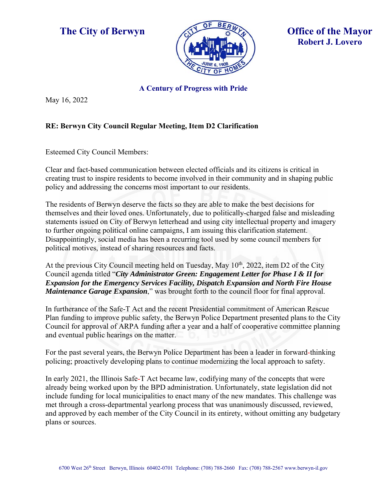



## **A Century of Progress with Pride**

May 16, 2022

## **RE: Berwyn City Council Regular Meeting, Item D2 Clarification**

Esteemed City Council Members:

Clear and fact-based communication between elected officials and its citizens is critical in creating trust to inspire residents to become involved in their community and in shaping public policy and addressing the concerns most important to our residents.

The residents of Berwyn deserve the facts so they are able to make the best decisions for themselves and their loved ones. Unfortunately, due to politically-charged false and misleading statements issued on City of Berwyn letterhead and using city intellectual property and imagery to further ongoing political online campaigns, I am issuing this clarification statement. Disappointingly, social media has been a recurring tool used by some council members for political motives, instead of sharing resources and facts.

At the previous City Council meeting held on Tuesday, May  $10^{th}$ , 2022, item D2 of the City Council agenda titled "*City Administrator Green: Engagement Letter for Phase I & II for Expansion for the Emergency Services Facility, Dispatch Expansion and North Fire House Maintenance Garage Expansion*," was brought forth to the council floor for final approval.

In furtherance of the Safe-T Act and the recent Presidential commitment of American Rescue Plan funding to improve public safety, the Berwyn Police Department presented plans to the City Council for approval of ARPA funding after a year and a half of cooperative committee planning and eventual public hearings on the matter.

For the past several years, the Berwyn Police Department has been a leader in forward-thinking policing; proactively developing plans to continue modernizing the local approach to safety.

In early 2021, the Illinois Safe-T Act became law, codifying many of the concepts that were already being worked upon by the BPD administration. Unfortunately, state legislation did not include funding for local municipalities to enact many of the new mandates. This challenge was met through a cross-departmental yearlong process that was unanimously discussed, reviewed, and approved by each member of the City Council in its entirety, without omitting any budgetary plans or sources.